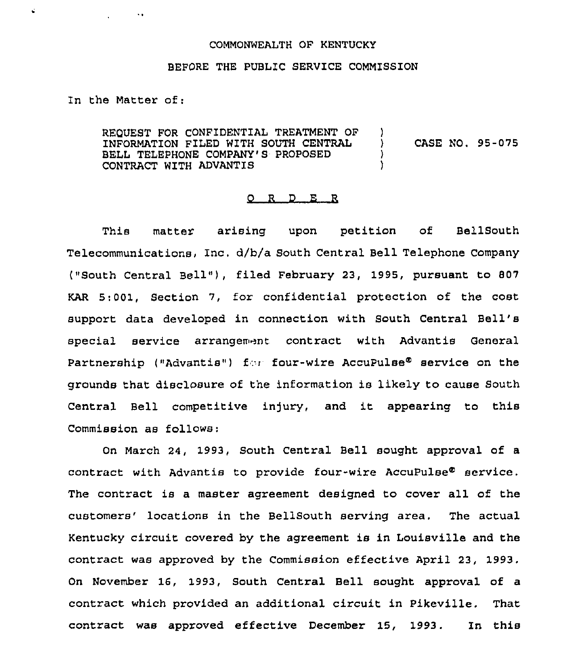## COMMONWEALTH OF KENTUCKY

## BEFORE THE PUBLIC SERVICE COMMISSION

In the Matter of:

 $\sim$ 

 $\vec{a}$ 

REQUEST FOR CONFIDENTIAL TREATMENT OF INFORMATION FILED WITH SOUTH CENTRAL BELL TELEPHONE COMPANY'S PROPOSED CONTRACT WITH ADVANTIS )<br>) ) CASE NO. 95-075 ) )

## 0 <sup>R</sup> <sup>D</sup> E R

This matter arising upon petition of BellSouth Telecommunications, Inc, d/b/a South Central Bell Telephone Company ("South Central Bell" ), filed February 23, 1995, pursuant to <sup>807</sup> KAR 5:001, Section 7, for confidential protection of the cost support data developed in connection with South Central Bell' special service arrangement contract with Advantis General Partnership ("Advantis") for four-wire AccuPulse<sup>®</sup> service on the grounds that disclosure of the information is likely to cause South Central Bell competitive injury, and it appearing to this Commission as follows:

On March 24, 1993, South Central Bell sought approval of a contract with Advantis to provide four-wire AccuPulse $^{\circ}$  service. The contract is a master agreement designed to cover all of the customers' locations in the BellSouth serving area. The actual Kentucky circuit covered by the agreement is in Louisville and the contract was approved by the Commission effective April 23, 1993. On November 16, 1993, South Central Bell sought approval of a contxact which provided an additional circuit in Pikeville. That contract was appxoved effective December 15, 1993. In this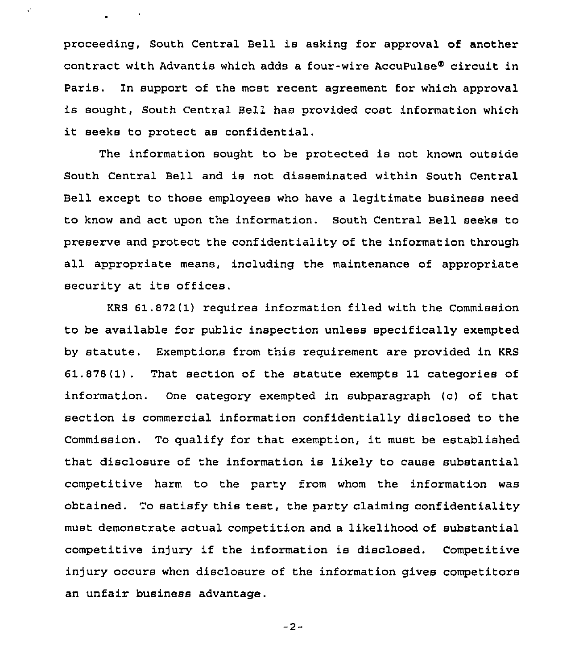proceeding, South Central Bell is asking for approval of another contract with Advantis which adds a four-wire AccuPulse® circuit in Paris. In support of the most recent agreement for which approval is sought, South Central Bell has provided cost information which it seeks to protect as confidential.

Ò,

The information sought to be protected is not known outside South Central Bell and is not disseminated within South Central Bell except to those employees who have a legitimate business need to know and act upon the information. South Central Bell seeks to preserve and protect the confidentiality of the information through all appropriate means, including the maintenance of appropriate security at its offices.

KRS 61.872(1) requires information filed with the Commission to be available for public inspection unless specifically exempted by statute. Exemptions from this requirement are provided in KRS 61.878(1). That section of the statute exempts 11 categories of information. One category exempted in subparagraph (c) of that section is commercial information conf identially disclosed to the Commission. To qualify for that exemption, it must be established that disclosure of the information is likely to cause substantial competitive harm to the party from whom the information was obtained. To satisfy this test, the party claiming confidentiality must demonstrate actual competition and a likelihood of substantial competitive injury if the information is disclosed. Competitive injury occurs when disclosure of the information gives competitors an unfair business advantage.

—2-